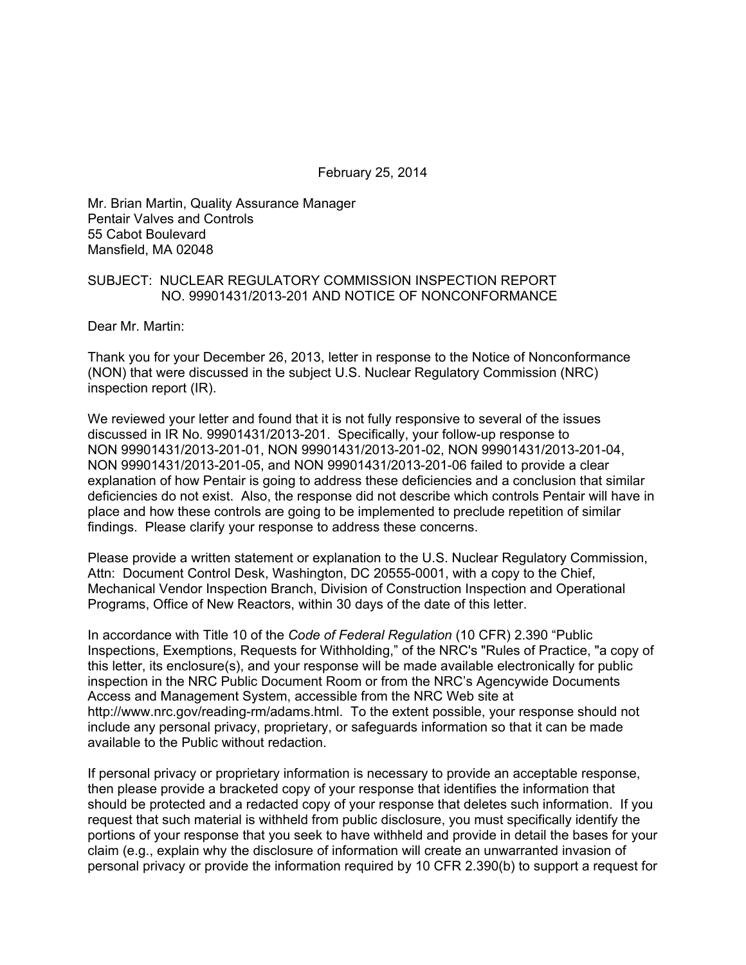February 25, 2014

Mr. Brian Martin, Quality Assurance Manager Pentair Valves and Controls 55 Cabot Boulevard Mansfield, MA 02048

## SUBJECT: NUCLEAR REGULATORY COMMISSION INSPECTION REPORT NO. 99901431/2013-201 AND NOTICE OF NONCONFORMANCE

Dear Mr. Martin:

Thank you for your December 26, 2013, letter in response to the Notice of Nonconformance (NON) that were discussed in the subject U.S. Nuclear Regulatory Commission (NRC) inspection report (IR).

We reviewed your letter and found that it is not fully responsive to several of the issues discussed in IR No. 99901431/2013-201. Specifically, your follow-up response to NON 99901431/2013-201-01, NON 99901431/2013-201-02, NON 99901431/2013-201-04, NON 99901431/2013-201-05, and NON 99901431/2013-201-06 failed to provide a clear explanation of how Pentair is going to address these deficiencies and a conclusion that similar deficiencies do not exist. Also, the response did not describe which controls Pentair will have in place and how these controls are going to be implemented to preclude repetition of similar findings. Please clarify your response to address these concerns.

Please provide a written statement or explanation to the U.S. Nuclear Regulatory Commission, Attn: Document Control Desk, Washington, DC 20555-0001, with a copy to the Chief, Mechanical Vendor Inspection Branch, Division of Construction Inspection and Operational Programs, Office of New Reactors, within 30 days of the date of this letter.

In accordance with Title 10 of the *Code of Federal Regulation* (10 CFR) 2.390 "Public Inspections, Exemptions, Requests for Withholding," of the NRC's "Rules of Practice, "a copy of this letter, its enclosure(s), and your response will be made available electronically for public inspection in the NRC Public Document Room or from the NRC's Agencywide Documents Access and Management System, accessible from the NRC Web site at http://www.nrc.gov/reading-rm/adams.html. To the extent possible, your response should not include any personal privacy, proprietary, or safeguards information so that it can be made available to the Public without redaction.

If personal privacy or proprietary information is necessary to provide an acceptable response, then please provide a bracketed copy of your response that identifies the information that should be protected and a redacted copy of your response that deletes such information. If you request that such material is withheld from public disclosure, you must specifically identify the portions of your response that you seek to have withheld and provide in detail the bases for your claim (e.g., explain why the disclosure of information will create an unwarranted invasion of personal privacy or provide the information required by 10 CFR 2.390(b) to support a request for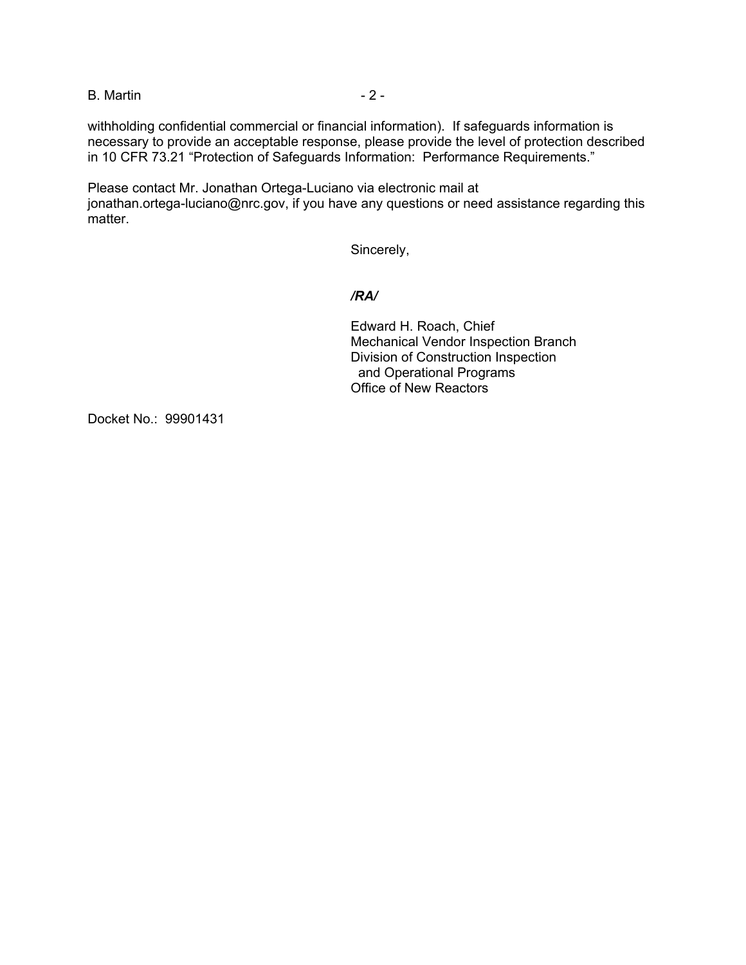B. Martin - 2 -

withholding confidential commercial or financial information). If safeguards information is necessary to provide an acceptable response, please provide the level of protection described in 10 CFR 73.21 "Protection of Safeguards Information: Performance Requirements."

Please contact Mr. Jonathan Ortega-Luciano via electronic mail at jonathan.ortega-luciano@nrc.gov, if you have any questions or need assistance regarding this matter.

Sincerely,

## */RA/*

Edward H. Roach, Chief Mechanical Vendor Inspection Branch Division of Construction Inspection and Operational Programs Office of New Reactors

Docket No.: 99901431